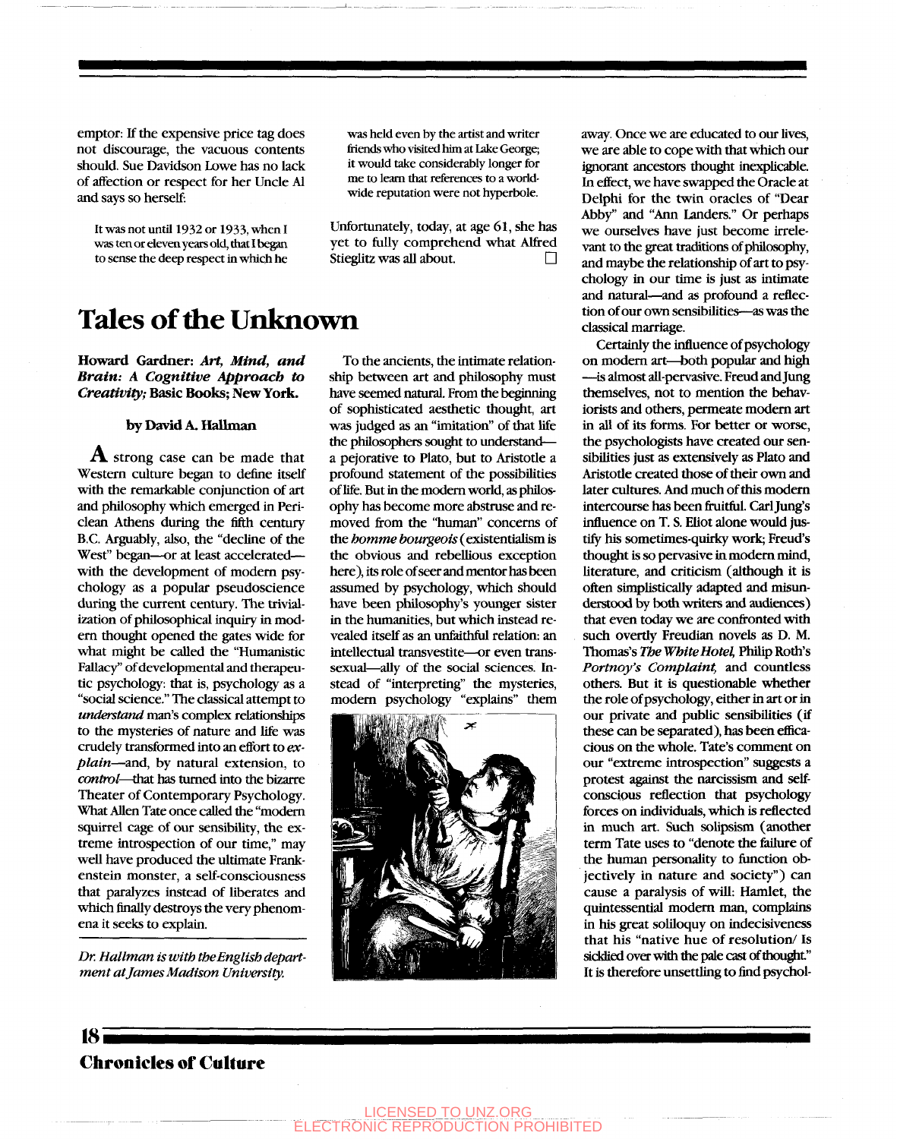emptor: If the expensive price tag does not discourage, the vacuous contents should. Sue Davidson Low^e has no lack of affection or respect for her Uncle Al and says so herself:

It was not until 1932 or 1933, when I was ten or eleven years old, that 1 began to sense the deep respect in which he

## **Tales of the Unknown**

**Howard Gardner:** *Art, Mind, and Brain: A Cognitive Approach to Creativity;* **Basic Books; New York.** 

#### **by David A. Hallman**

*A.* strong case can be made that Western culture began to define itself with the remarkable conjunction of art and philosophy which emerged in Periclean Athens during the fifth century B.C. Arguably, also, the "decline of the West" began—or at least accelerated with the development of modem psychology as a popular pseudoscience during the current century. The trivialization of philosophical inquiry in modem thought opened the gates wide for what might be called the "Humanistic Fallacy" of developmental and therapeutic psychology: that is, psychology as a "social science." The classical attempt to *understand* man's complex relationships to the mysteries of nature and life was crudely transformed into an effort to ex*plain*—and, by natural extension, to *control*—that has turned into the bizarre Theater of Contemporary Psychology. What Allen Tate once called the "modem squirrel cage of our sensibility, the extreme introspection of our time," may well have produced the ultimate Frankenstein monster, a self-consciousness that paralyzes instead of liberates and which finally destroys the very phenomena it seeks to explain.

*Dr. Hallman is with the English department at James Madison University.* 

was held even by the artist and writer friends who visited him at Lake George; it would take considerably longer for me to learn that references to a worldwide reputation were not hyperbole.

Unfortunately, today, at age 61, she has yet to fully comprehend what Alfred Stieglitz was all about.

To the ancients, the intimate relationship between art and philosophy must have seemed natural. From the beginning of sophisticated aesthetic thought, art was judged as an "imitation" of that life the philosophers sought to understanda pejorative to Plato, but to Aristode a profound statement of the possibilities of life. But in the modem world, as philosophy has become more abstmse and removed from the "human" concerns of the *homme bourgeois* (existentialism is the obvious and rebellious exception here), its role of seer and mentor has been assumed by psychology, which should have been philosophy's younger sister in the humanities, but which instead revealed itself as an unfaithful relation: an intellectual transvestite—or even transsexual—ally of the social sciences. Instead of "interpreting" the mysteries, modem psychology "explains" them



away. Once we are educated to our lives, we are able to cope with that which our ignorant ancestors thought inexplicable. In effect, we have swapped the Oracle at Delphi for the twin oracles of "Dear Abby" and "Ann Landers." Or perhaps we ourselves have just become irrelevant to the great traditions of philosophy, and maybe the relationship of art to psychology in our time is just as intimate and natural—^and as profound a reflection of our own sensibilities—as was the classical marriage.

Certainly the influence of psychology on modem art—both popular and high —^is almost all-pervasive. Freud and Jung themselves, not to mention the behaviorists and others, permeate modem art in all of its forms. For better or worse, the psychologists have created our sensibilities just as extensively as Plato and Aristotle created those of their own and later cultures. And much of this modem intercourse has been fruitful. Carl Jung's influence on T. S. Eliot alone would justify his sometimes-quirky work; Freud's thought is so pervasive in modem mind, literature, and criticism (although it is often simplistically adapted and misunderstood by both writers and audiences) that even today we are confronted with such overtly Freudian novels as D. M. Thomas's *The White Hotel,* Philip Roth's *Portnoy's Complaint,* and coundess others. But it is questionable whether the role of psychology, either in art or in our private and public sensibilities (if these can be separated), has been efficacious on the whole. Tate's comment on our "extreme introspection" suggests a protest against the narcissism and selfconscious reflection that psychology forces on individuals, which is reflected in much art. Such solipsism (another term Tate uses to "denote the failure of the human personality to function objectively in nature and society") can cause a paralysis of wiU: Hamlet, the quintessential modem man, complains in his great soliloquy on indecisiveness that his "native hue of resolution/ Is sicklied over with the pale cast of thought." It is therefore unsettling to find psychol-

## **Chronicles of Culture**

**18i**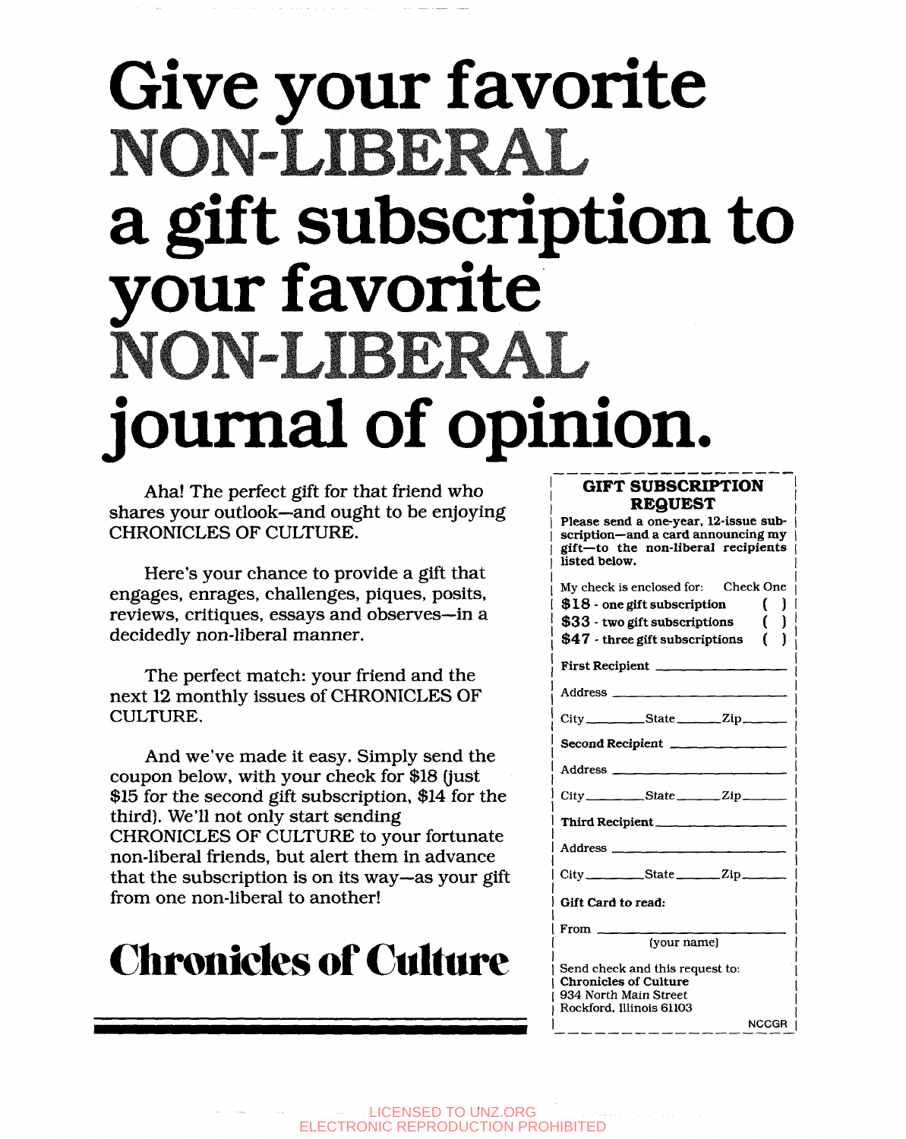# **Give your favorite**  NON-LIBERAL **a gift subscription to your favorite**  NON-LIBERAL **journal of opinion.**

Aha! The perfect gift for that friend who shares your outlook—and ought to be enjoying CHRONICLES OF CULTURE.

Here's your chance to provide a gift that engages, enrages, challenges, piques, posits, reviews, critiques, essays and observes—in a decidedly non-liberal manner.

The perfect match: your friend and the next 12 monthly issues of CHRONICLES OF CULTURE.

And we've made it easy. Simply send the coupon below, with your check for \$18 (just \$15 for the second gift subscription, \$14 for the third). We'll not only start sending CHRONICLES OF CULTURE to your fortunate non-liberal friends, but alert them in advance that the subscription is on its way—as your gift from one non-liberal to another!

## **Chronicles of Culttire**

### **GIFT SUBSCRIPTION REQUEST**

**Please send a one-year, 12-issue subscription—and a card announcing my gift—to the non-liberal recipients listed below.** 

| My check is enclosed for: Check One                             |
|-----------------------------------------------------------------|
| \$18 - one gift subscription<br>ſ.                              |
| $\mathcal{L}$<br>\$33 - two gift subscriptions                  |
| $$47$ - three gift subscriptions (                              |
| First Recipient                                                 |
| Address $\qquad \qquad$                                         |
|                                                                 |
| Second Recipient                                                |
|                                                                 |
| $City$ $State$ $Zip$                                            |
| Third Recipient                                                 |
|                                                                 |
| $City$ State $Zip$                                              |
| Gift Card to read:                                              |
| $From \_\_$                                                     |
| (vour name)                                                     |
| Send check and this request to:<br><b>Chronicles of Culture</b> |
| 934 North Main Street                                           |
| Rockford, Illinois 61103                                        |
| NCCGR                                                           |

LICENSED TO UNZ.ORG ELECTRONIC REPRODUCTION PROHIBITED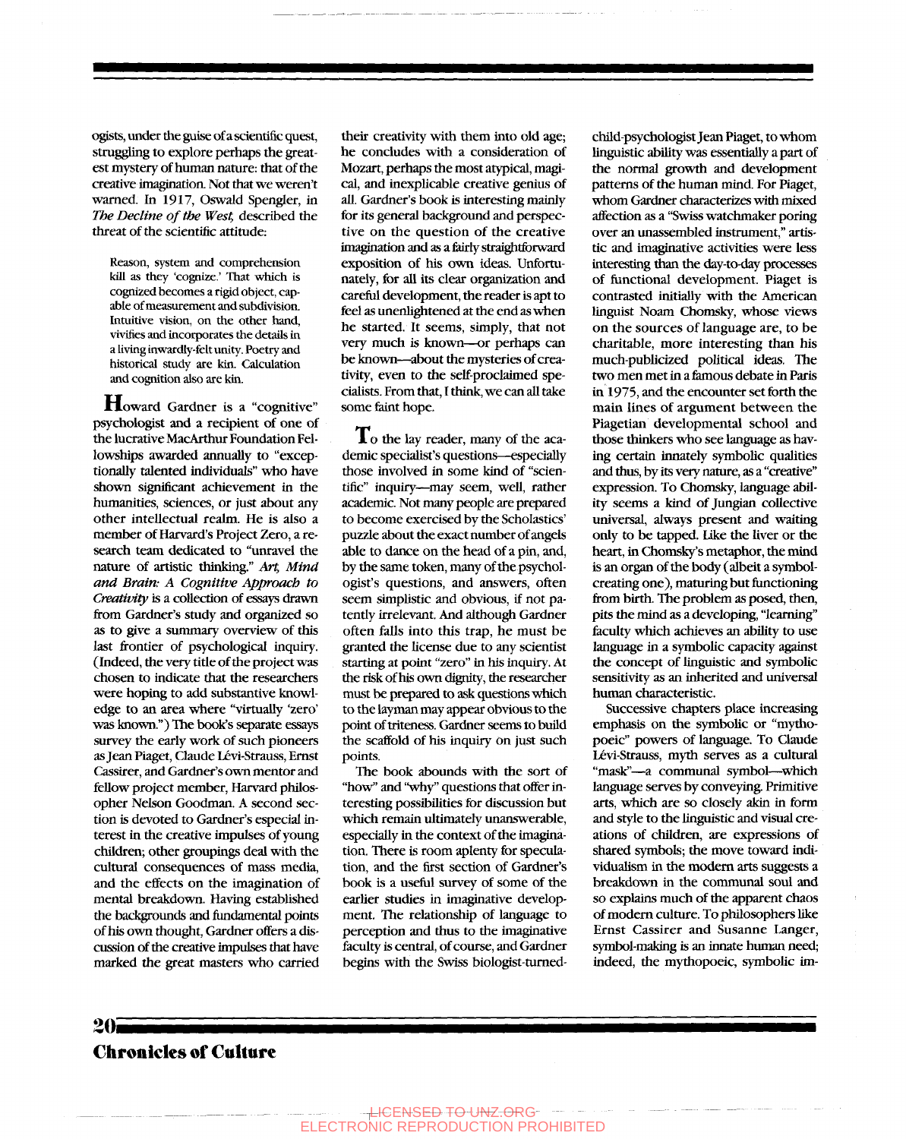ogists, under the guise of a scientific quest, struggling to explore perhaps the greatest mystery of human nature: that of the creative imaginatioa Not that we weren't warned. In 1917, Oswald Spengler, in *The Decline of the West,* described the threat of the scientific attitude:

Reason, system and comprehension kill as they 'cognize.' That which is cognized becomes a rigid object, capable of measurement and subdivision. Intuitive vision, on the other hand, vivifies and incorporates the details in a living inwardly-felt unity. Poetry and historical study are kin. Calculation and cognition also are kin.

Howard Gardner is a "cognitive" psychologist and a recipient of one of the lucrative MacArthur Foundation Fellowships awarded annually to "exceptionally talented individuals" who have shown significant achievement in the humanities, sciences, or just about any other intellectual realm. He is also a member of Harvard's Project Zero, a research team dedicated to "unravel the nature of artistic thinking." *Art, Mind and Brain: A Cognitive Approach to Creativity* is a collection of essays drawn from Gardner's study and organized so as to give a summary overview of this last frontier of psychological inquiry. (Indeed, the very title of the project was chosen to indicate that the researchers were hoping to add substantive knowledge to an area where "virtually 'zero' was known.") The book's separate essays survey the early work of such pioneers as Jean Piaget, Claude Lévi-Strauss, Ernst Cassirer, and Gardner's own mentor and fellow project member, Harvard philosopher Nelson Goodman. A second section is devoted to Gardner's especial interest in the creative impulses of young children; other groupings deal with the culmrel; other groupings acal with the cultural consequences of mass media, and the effects on the imagination of mental breakdown. Having established the backgrounds and fundamental points of his own thought, Gardner offers a discussion of the creative impulses that have<br>marked the great masters who carried

their creativity with them into old age; he concludes with a consideration of Mozart, perhaps the most atypical, magical, and inexplicable creative genius of all. Gardner's book is interesting mainly for its general background and perspective on the question of the creative imagination and as a feirly straightforward exposition of his own ideas. Unfortunately, for all its clear organization and careful development, the reader is apt to feel as unenlightened at the end as when he started. It seems, simply, that not very much is known—or perhaps can be known—^about the mysteries of creativity, even to the self-proclaimed specialists. From that, I think, we can all take some faint hope.

To the lay reader, many of the academic specialist's questions—especially those involved in some kind of "scientific" inquiry—^may seem, well, rather academic. Not many people are prepared to become exercised by the Scholastics' puzzle about the exact number of angels able to dance on the head of a pin, and, by the same token, many of the psychologist's questions, and answers, often seem simplistic and obvious, if not patentiy irrelevant. And although Gardner often falls into this trap, he must be granted the license due to any scientist starting at point "zero" in his inquiry. At the risk of his own dignity, the researcher must be prepared to ask questions which to the layman may appear obvious to the point of triteness. Gardner seems to build the scaffold of his inquiry on just such points.

The book abounds with the sort of "how" and "why" questions that offer interesting possibilities for discussion but which remain ultimately unanswerable, especially in the context of the imagination. There is room aplenty for speculation, and the first section of Gardner's book is a useful survey of some of the earlier studies in imaginative development. The relationship of language to perception and thus to the imaginative faculty is central, of course, and Gardner begins with the Swiss biologist-tumedchild-psychologist Jean Piaget, to whom linguistic ability was essentially a part of the normal growth and development patterns of the human mind. For Piaget, whom Gardner characterizes with mixed affection as a "Swiss watchmaker poring over an unassembled instrument," artistic and imaginative activities were less interesting than the day-to-day processes of functional development. Piaget is contrasted initially with the American linguist Noam Chomsky, whose views on the sources of language are, to be charitable, more interesting than his much-publicized political ideas. The two men met in a famous debate in Paris in 1975, and the encounter set forth the main lines of argument between the Piagetian developmental school and those thinkers who see language as having certain innately symbolic qualities and thus, by its very nature, as a "creative" expression. To Chomsky, language ability seems a kind of Jungian collective ity seems a kind of Jungian collective universal, always present and waiting only to be tapped. Like the liver or the heart, in Chomsky's metaphor, the mind is an organ of the body (albeit a symbolcreating one), maturing but functioning from birth. The problem as posed, then, pits the mind as a developing, "learning" faculty which achieves an ability to use language in a symbolic capacity against the concept of linguistic and symbolic sensitivity as an inherited and universal<br>human characteristic.

Successive chapters place increasing emphasis on the symbolic or "mythopoeic" powers of language. To Claude Lévi-Strauss, myth serves as a cultural "mask"—a communal symbol—^which language serves by conveying. Primitive arts, which are so closely akin in form and style to the linguistic and visual creations of children, are expressions of shared symbols; the move toward individualism in the modem arts suggests a breakdown in the communal soul and so explains much of the apparent chaos of modem culture. To philosophers like Ernst Cassirer and Susanne Langer, symbol-making is an innate human need; indeed, the mythopoeic, symbolic im-

## **Chronicles of Culture**

*Zi)l*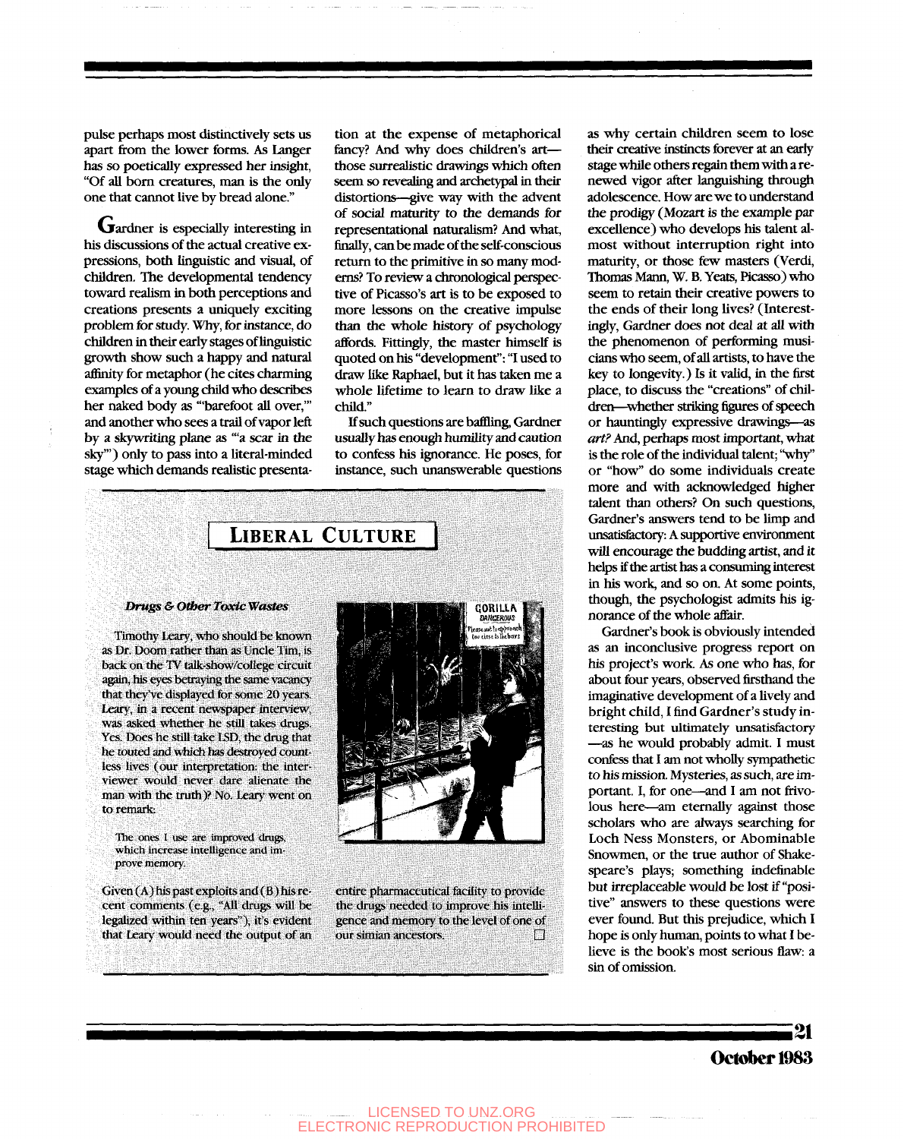pulse perhaps most distinctively sets us apart from the lower forms. As Langer has so poetically expressed her insight, "Of all born creatures, man is the only one that cannot live by bread alone."

Gardner is especially interesting in his discussions of the actual creative expressions, both linguistic and visual, of children. The developmental tendency toward realism in both perceptions and creations presents a uniquely exciting problem for study. Why, for instance, do children in their early stages of linguistic growth show such a happy and natural affinity for metaphor (he cites charming examples of a young child who describes her naked body as '"barefoot all over,'" and another who sees a trail of vapor left by a skywriting plane as "'a scar in the sky"') only to pass into a literal-minded stage which demands realistic presenta-

tion at the expense of metaphorical fancy? And why does children's artthose surrealistic drawings which often seem so revealing and archetypal in their distortions—give way with the advent of social maturity to the demands for representational naturalism? And what, finally, can be made of the self-conscious return to the primitive in so many modems? To review a chronological perspective of Picasso's art is to be exposed to more lessons on the creative impulse than the whole history of psychology affords. Fittingly, the master himself is quoted on his "development": "1 used to draw like Raphael, but it has taken me a whole lifetime to learn to draw like a child."

If such questions are baffling, Gardner usually has enough humility and caution to confess his ignorance. He poses, for instance, such unanswerable questions



again, his eyes betraying the same vacancy that they've displayed for some 20 years. Leary, in a recent newspaper interview, was asked whether he still takes drugs. Yes. Does he still take ISD, the drug that he touted and which has destroyed countless lives (our interpretation: the interviewer would never dare alienate the man with the truth)? No. Leary went on to remark:

The ones I use are improved drugs, which increase intelligence and improve memory.

Given  $(A)$  his past exploits and  $(B)$  his recent comments (e.g., "All drugs will be legalized within ten years"), it's evident that Leary would need the output of an



entire pharmaceutical facility to provide the drugs needed to improve his intelligence and memory to the level of one of our simian ancestors.  $\Box$ 

as why certain children seem to lose their creative instincts forever at an early stage while others regain them with a renewed vigor after languishing through adolescence. How are we to understand the prodigy (Mozart is the example par excellence) who develops his talent almost without interruption right into maturity, or those few masters (Verdi, Thomas Mann, W. B. Yeats, Picasso) who seem to retain their creative powers to the ends of their long lives? (Interestingly, Gardner does not deal at all with the phenomenon of performing musicians who seem, of all artists, to have the key to longevity.) Is it valid, in the first place, to discuss the "creations" of children—whether striking figures of speech or hauntingly expressive drawings—^as art? And, perhaps most important, what is the role of the individual talent; "why" or "how" do some individuals create more and with acknowledged higher talent than others? On such questions, Gardner's answers tend to be limp and unsatisfectory: A supportive environment will encourage the budding artist, and it helps if the artist has a consuming interest in his work, and so on. At some points, though, the psychologist admits his ignorance of the whole affair.

Gardner's book is obviously intended as an inconclusive progress report on his project's work As one who has, for about four years, observed firsthand the imaginative development of a lively and bright child, I find Gardner's study interesting but ultimately unsatisfactory -as he would probably admit. I must confess that I am not wholly sympathetic to his mission. Mysteries, as such, are important. 1, for one—^and I am not frivolous here—^am eternally against those scholars who are always searching for Loch Ness Monsters, or Abominable Snowmen, or the true author of Shakespeare's plays; something indefinable but irreplaceable would be lost if "positive" answers to these questions were ever found. But this prejudice, which I hope is only human, points to what I believe is the book's most serious flaw: a sin of omission.

### **October 1983**